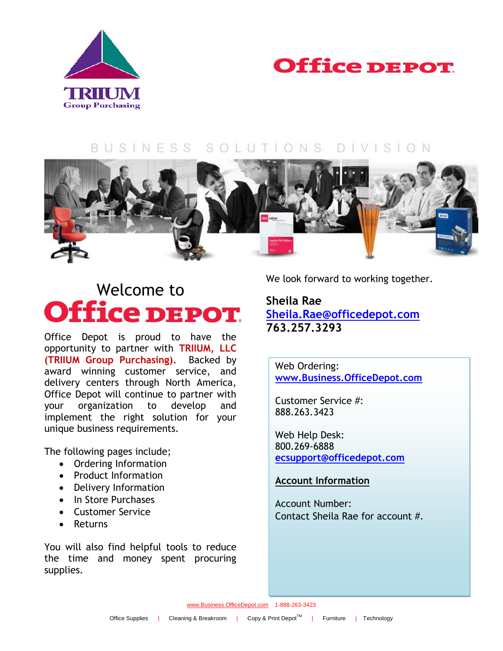



#### BUSINESS SOLUTIONS  $DIVISION$



# Welcome to<br>**Office DEPOT.**

Office Depot is proud to have the opportunity to partner with **TRIIUM, LLC (TRIIUM Group Purchasing)**. Backed by award winning customer service, and delivery centers through North America, Office Depot will continue to partner with your organization to develop and implement the right solution for your unique business requirements.

The following pages include;

- Ordering Information
- Product Information
- Delivery Information
- In Store Purchases
- Customer Service
- Returns

You will also find helpful tools to reduce the time and money spent procuring supplies.

We look forward to working together.

## **Sheila Rae [Sheila.Rae@officedepot.com](mailto:Sheila.Rae@officedepot.com) 763.257.3293**

Web Ordering: **[www.Business.OfficeDepot.com](http://www.business.officedepot.com/)**

Customer Service #: 888.263.3423

Web Help Desk: 800.269-6888 **[ecsupport@officedepot.com](mailto:ecsupport@officedepot.com)**

### **Account Information**

Account Number: Contact Sheila Rae for account #.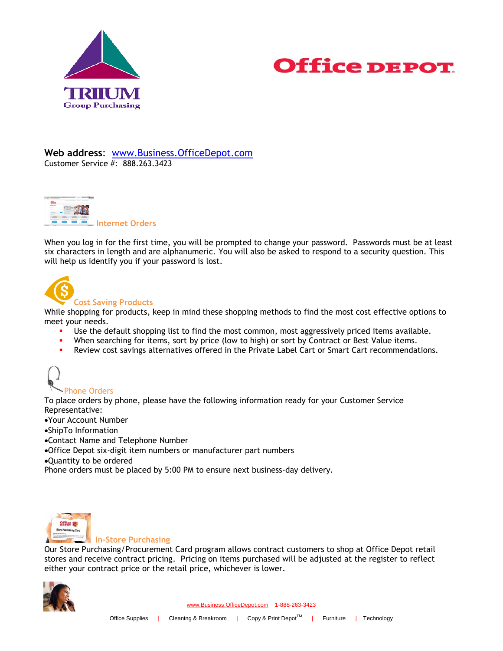



**Web address**: [www.Business.OfficeDepot.com](http://www.business.officedepot.com/) Customer Service #: 888.263.3423



When you log in for the first time, you will be prompted to change your password. Passwords must be at least six characters in length and are alphanumeric. You will also be asked to respond to a security question. This will help us identify you if your password is lost.



#### **Cost Saving Products**

While shopping for products, keep in mind these shopping methods to find the most cost effective options to meet your needs.

- Use the default shopping list to find the most common, most aggressively priced items available.
- When searching for items, sort by price (low to high) or sort by Contract or Best Value items.
- Review cost savings alternatives offered in the Private Label Cart or Smart Cart recommendations.



To place orders by phone, please have the following information ready for your Customer Service Representative:

Your Account Number

ShipTo Information

- Contact Name and Telephone Number
- Office Depot six-digit item numbers or manufacturer part numbers

Quantity to be ordered

Phone orders must be placed by 5:00 PM to ensure next business-day delivery.



#### **In-Store Purchasing**

Our Store Purchasing/Procurement Card program allows contract customers to shop at Office Depot retail stores and receive contract pricing. Pricing on items purchased will be adjusted at the register to reflect either your contract price or the retail price, whichever is lower.

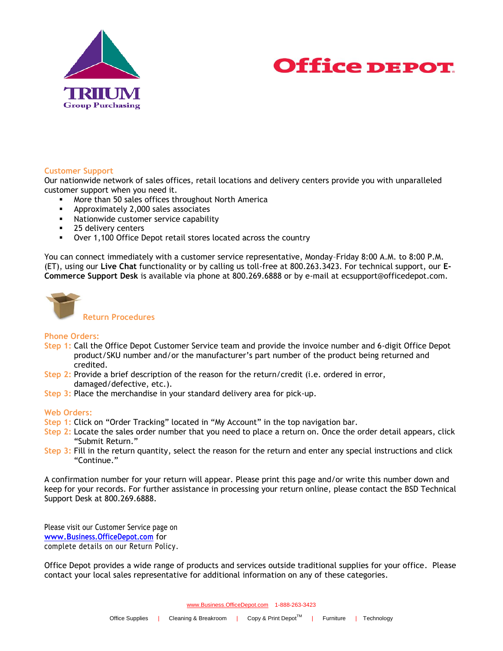



#### **Customer Support**

Our nationwide network of sales offices, retail locations and delivery centers provide you with unparalleled customer support when you need it.

- More than 50 sales offices throughout North America
- **Approximately 2,000 sales associates**
- **Nationwide customer service capability**
- 25 delivery centers
- Over 1,100 Office Depot retail stores located across the country

You can connect immediately with a customer service representative, Monday–Friday 8:00 A.M. to 8:00 P.M. (ET), using our **Live Chat** functionality or by calling us toll-free at 800.263.3423. For technical support, our **E-Commerce Support Desk** is available via phone at 800.269.6888 or by e-mail at ecsupport@officedepot.com.



**Return Procedures**

#### **Phone Orders:**

- **Step 1:** Call the Office Depot Customer Service team and provide the invoice number and 6-digit Office Depot product/SKU number and/or the manufacturer's part number of the product being returned and credited.
- **Step 2:** Provide a brief description of the reason for the return/credit (i.e. ordered in error, damaged/defective, etc.).
- **Step 3:** Place the merchandise in your standard delivery area for pick-up.

#### **Web Orders:**

- **Step 1:** Click on "Order Tracking" located in "My Account" in the top navigation bar.
- **Step 2:** Locate the sales order number that you need to place a return on. Once the order detail appears, click "Submit Return."
- **Step 3:** Fill in the return quantity, select the reason for the return and enter any special instructions and click "Continue."

A confirmation number for your return will appear. Please print this page and/or write this number down and keep for your records. For further assistance in processing your return online, please contact the BSD Technical Support Desk at 800.269.6888.

Please visit our Customer Service page on **[www.Business.OfficeDepot.com](http://www.business.officedepot.com/)** for complete details on our Return Policy.

Office Depot provides a wide range of products and services outside traditional supplies for your office. Please contact your local sales representative for additional information on any of these categories.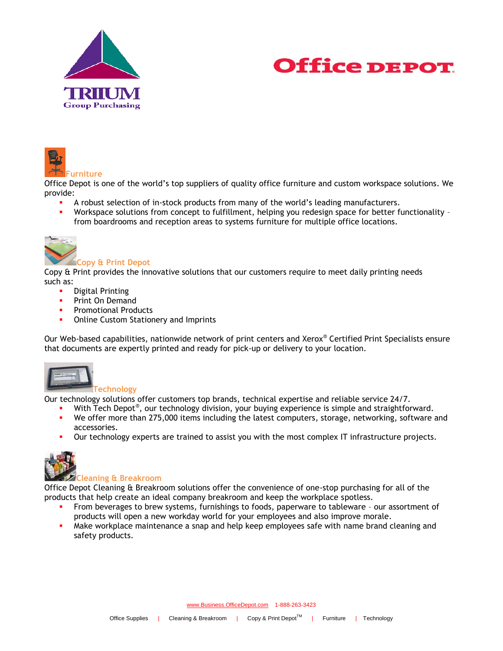





Office Depot is one of the world's top suppliers of quality office furniture and custom workspace solutions. We provide:

- A robust selection of in-stock products from many of the world's leading manufacturers.
- Workspace solutions from concept to fulfillment, helping you redesign space for better functionality from boardrooms and reception areas to systems furniture for multiple office locations.



#### **Copy & Print Depot**

Copy & Print provides the innovative solutions that our customers require to meet daily printing needs such as:

- Digital Printing
- Print On Demand
- Promotional Products
- Online Custom Stationery and Imprints

Our Web-based capabilities, nationwide network of print centers and Xerox® Certified Print Specialists ensure that documents are expertly printed and ready for pick-up or delivery to your location.



#### **Technology**

Our technology solutions offer customers top brands, technical expertise and reliable service 24/7.

- With Tech Depot®, our technology division, your buying experience is simple and straightforward.
- We offer more than 275,000 items including the latest computers, storage, networking, software and accessories.
- Our technology experts are trained to assist you with the most complex IT infrastructure projects.



#### **Cleaning & Breakroom**

Office Depot Cleaning & Breakroom solutions offer the convenience of one-stop purchasing for all of the products that help create an ideal company breakroom and keep the workplace spotless.

- From beverages to brew systems, furnishings to foods, paperware to tableware our assortment of products will open a new workday world for your employees and also improve morale.
- Make workplace maintenance a snap and help keep employees safe with name brand cleaning and safety products.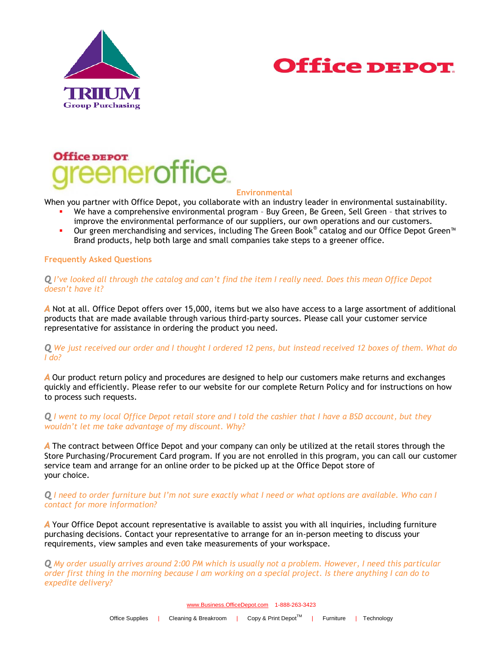



# Office DEPOT eneroffice

#### **Environmental**

When you partner with Office Depot, you collaborate with an industry leader in environmental sustainability.

- We have a comprehensive environmental program Buy Green, Be Green, Sell Green that strives to improve the environmental performance of our suppliers, our own operations and our customers.
- Our green merchandising and services, including The Green Book® catalog and our Office Depot Green™ Brand products, help both large and small companies take steps to a greener office.

#### **Frequently Asked Questions**

#### *Q I've looked all through the catalog and can't find the item I really need. Does this mean Office Depot doesn't have it?*

*A* Not at all. Office Depot offers over 15,000, items but we also have access to a large assortment of additional products that are made available through various third-party sources. Please call your customer service representative for assistance in ordering the product you need.

#### *Q We just received our order and I thought I ordered 12 pens, but instead received 12 boxes of them. What do I do?*

*A* Our product return policy and procedures are designed to help our customers make returns and exchanges quickly and efficiently. Please refer to our website for our complete Return Policy and for instructions on how to process such requests.

#### *Q I went to my local Office Depot retail store and I told the cashier that I have a BSD account, but they wouldn't let me take advantage of my discount. Why?*

*A* The contract between Office Depot and your company can only be utilized at the retail stores through the Store Purchasing/Procurement Card program. If you are not enrolled in this program, you can call our customer service team and arrange for an online order to be picked up at the Office Depot store of your choice.

#### *Q I need to order furniture but I'm not sure exactly what I need or what options are available. Who can I contact for more information?*

*A* Your Office Depot account representative is available to assist you with all inquiries, including furniture purchasing decisions. Contact your representative to arrange for an in-person meeting to discuss your requirements, view samples and even take measurements of your workspace.

*Q My order usually arrives around 2:00 PM which is usually not a problem. However, I need this particular order first thing in the morning because I am working on a special project. Is there anything I can do to expedite delivery?*